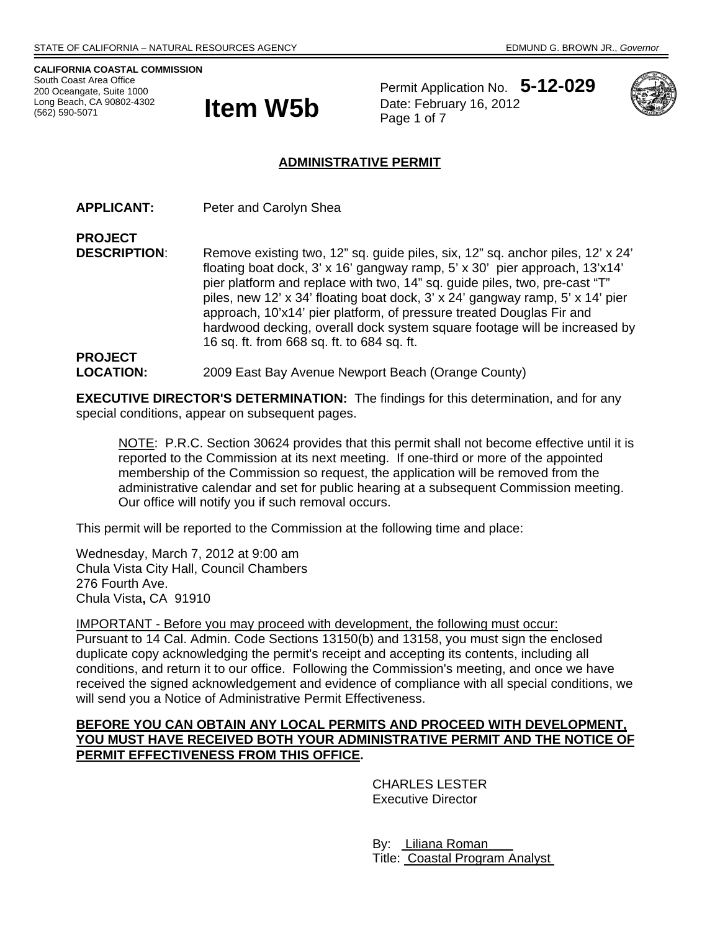**CALIFORNIA COASTAL COMMISSION**  South Coast Area Office 200 Oceangate, Suite 1000 Long Beach, CA 90802-4302 (562) 590-5071



Permit Application No. **5-12-029** Date: February 16, 2012



### **ADMINISTRATIVE PERMIT**

**APPLICANT:** Peter and Carolyn Shea

**PROJECT DESCRIPTION:** Remove existing two, 12" sq. guide piles, six, 12" sq. anchor piles, 12' x 24' floating boat dock, 3' x 16' gangway ramp, 5' x 30' pier approach, 13'x14' pier platform and replace with two, 14" sq. guide piles, two, pre-cast "T" piles, new 12' x 34' floating boat dock, 3' x 24' gangway ramp, 5' x 14' pier approach, 10'x14' pier platform, of pressure treated Douglas Fir and hardwood decking, overall dock system square footage will be increased by 16 sq. ft. from 668 sq. ft. to 684 sq. ft.

#### **PROJECT LOCATION:** 2009 East Bay Avenue Newport Beach (Orange County)

**EXECUTIVE DIRECTOR'S DETERMINATION:** The findings for this determination, and for any special conditions, appear on subsequent pages.

NOTE: P.R.C. Section 30624 provides that this permit shall not become effective until it is reported to the Commission at its next meeting. If one-third or more of the appointed membership of the Commission so request, the application will be removed from the administrative calendar and set for public hearing at a subsequent Commission meeting. Our office will notify you if such removal occurs.

This permit will be reported to the Commission at the following time and place:

Wednesday, March 7, 2012 at 9:00 am Chula Vista City Hall, Council Chambers 276 Fourth Ave. Chula Vista**,** CA 91910

IMPORTANT - Before you may proceed with development, the following must occur: Pursuant to 14 Cal. Admin. Code Sections 13150(b) and 13158, you must sign the enclosed duplicate copy acknowledging the permit's receipt and accepting its contents, including all conditions, and return it to our office. Following the Commission's meeting, and once we have received the signed acknowledgement and evidence of compliance with all special conditions, we will send you a Notice of Administrative Permit Effectiveness.

#### **BEFORE YOU CAN OBTAIN ANY LOCAL PERMITS AND PROCEED WITH DEVELOPMENT, YOU MUST HAVE RECEIVED BOTH YOUR ADMINISTRATIVE PERMIT AND THE NOTICE OF PERMIT EFFECTIVENESS FROM THIS OFFICE.**

 CHARLES LESTER Executive Director

 By: Liliana Roman Title: Coastal Program Analyst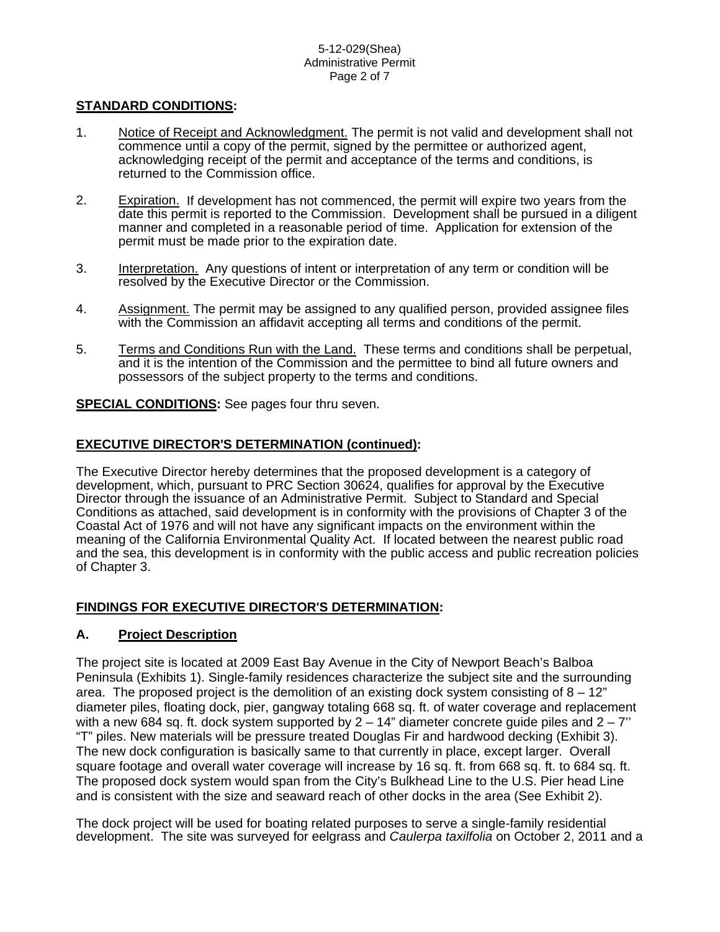#### 5-12-029(Shea) Administrative Permit Page 2 of 7

#### **STANDARD CONDITIONS:**

- 1. Notice of Receipt and Acknowledgment. The permit is not valid and development shall not commence until a copy of the permit, signed by the permittee or authorized agent, acknowledging receipt of the permit and acceptance of the terms and conditions, is returned to the Commission office.
- 2. Expiration. If development has not commenced, the permit will expire two years from the date this permit is reported to the Commission. Development shall be pursued in a diligent manner and completed in a reasonable period of time. Application for extension of the permit must be made prior to the expiration date.
- 3. Interpretation. Any questions of intent or interpretation of any term or condition will be resolved by the Executive Director or the Commission.
- 4. Assignment. The permit may be assigned to any qualified person, provided assignee files with the Commission an affidavit accepting all terms and conditions of the permit.
- 5. Terms and Conditions Run with the Land. These terms and conditions shall be perpetual, and it is the intention of the Commission and the permittee to bind all future owners and possessors of the subject property to the terms and conditions.

**SPECIAL CONDITIONS:** See pages four thru seven.

#### **EXECUTIVE DIRECTOR'S DETERMINATION (continued):**

The Executive Director hereby determines that the proposed development is a category of development, which, pursuant to PRC Section 30624, qualifies for approval by the Executive Director through the issuance of an Administrative Permit. Subject to Standard and Special Conditions as attached, said development is in conformity with the provisions of Chapter 3 of the Coastal Act of 1976 and will not have any significant impacts on the environment within the meaning of the California Environmental Quality Act. If located between the nearest public road and the sea, this development is in conformity with the public access and public recreation policies of Chapter 3.

### **FINDINGS FOR EXECUTIVE DIRECTOR'S DETERMINATION:**

#### **A. Project Description**

The project site is located at 2009 East Bay Avenue in the City of Newport Beach's Balboa Peninsula (Exhibits 1). Single-family residences characterize the subject site and the surrounding area. The proposed project is the demolition of an existing dock system consisting of  $8 - 12$ " diameter piles, floating dock, pier, gangway totaling 668 sq. ft. of water coverage and replacement with a new 684 sq. ft. dock system supported by  $2 - 14$ " diameter concrete guide piles and  $2 - 7$ " "T" piles. New materials will be pressure treated Douglas Fir and hardwood decking (Exhibit 3). The new dock configuration is basically same to that currently in place, except larger. Overall square footage and overall water coverage will increase by 16 sq. ft. from 668 sq. ft. to 684 sq. ft. The proposed dock system would span from the City's Bulkhead Line to the U.S. Pier head Line and is consistent with the size and seaward reach of other docks in the area (See Exhibit 2).

The dock project will be used for boating related purposes to serve a single-family residential development. The site was surveyed for eelgrass and *Caulerpa taxilfolia* on October 2, 2011 and a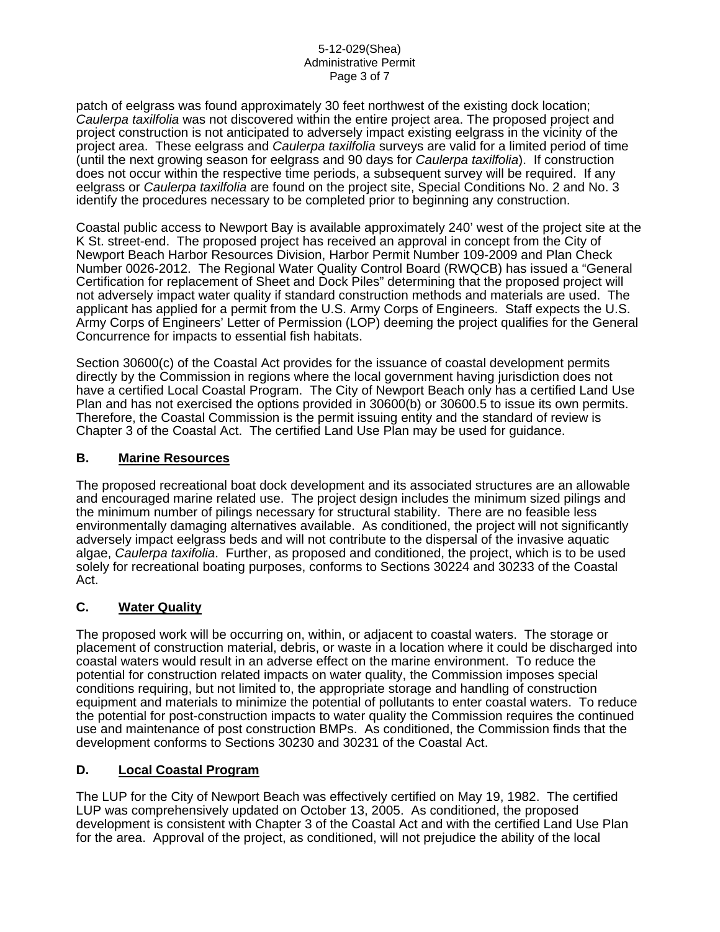patch of eelgrass was found approximately 30 feet northwest of the existing dock location; *Caulerpa taxilfolia* was not discovered within the entire project area. The proposed project and project construction is not anticipated to adversely impact existing eelgrass in the vicinity of the project area. These eelgrass and *Caulerpa taxilfolia* surveys are valid for a limited period of time (until the next growing season for eelgrass and 90 days for *Caulerpa taxilfolia*). If construction does not occur within the respective time periods, a subsequent survey will be required. If any eelgrass or *Caulerpa taxilfolia* are found on the project site, Special Conditions No. 2 and No. 3 identify the procedures necessary to be completed prior to beginning any construction.

Coastal public access to Newport Bay is available approximately 240' west of the project site at the K St. street-end. The proposed project has received an approval in concept from the City of Newport Beach Harbor Resources Division, Harbor Permit Number 109-2009 and Plan Check Number 0026-2012. The Regional Water Quality Control Board (RWQCB) has issued a "General Certification for replacement of Sheet and Dock Piles" determining that the proposed project will not adversely impact water quality if standard construction methods and materials are used. The applicant has applied for a permit from the U.S. Army Corps of Engineers. Staff expects the U.S. Army Corps of Engineers' Letter of Permission (LOP) deeming the project qualifies for the General Concurrence for impacts to essential fish habitats.

Section 30600(c) of the Coastal Act provides for the issuance of coastal development permits directly by the Commission in regions where the local government having jurisdiction does not have a certified Local Coastal Program. The City of Newport Beach only has a certified Land Use Plan and has not exercised the options provided in 30600(b) or 30600.5 to issue its own permits. Therefore, the Coastal Commission is the permit issuing entity and the standard of review is Chapter 3 of the Coastal Act. The certified Land Use Plan may be used for guidance.

#### **B. Marine Resources**

The proposed recreational boat dock development and its associated structures are an allowable and encouraged marine related use. The project design includes the minimum sized pilings and the minimum number of pilings necessary for structural stability. There are no feasible less environmentally damaging alternatives available. As conditioned, the project will not significantly adversely impact eelgrass beds and will not contribute to the dispersal of the invasive aquatic algae, *Caulerpa taxifolia*. Further, as proposed and conditioned, the project, which is to be used solely for recreational boating purposes, conforms to Sections 30224 and 30233 of the Coastal Act.

### **C. Water Quality**

The proposed work will be occurring on, within, or adjacent to coastal waters. The storage or placement of construction material, debris, or waste in a location where it could be discharged into coastal waters would result in an adverse effect on the marine environment. To reduce the potential for construction related impacts on water quality, the Commission imposes special conditions requiring, but not limited to, the appropriate storage and handling of construction equipment and materials to minimize the potential of pollutants to enter coastal waters. To reduce the potential for post-construction impacts to water quality the Commission requires the continued use and maintenance of post construction BMPs. As conditioned, the Commission finds that the development conforms to Sections 30230 and 30231 of the Coastal Act.

### **D. Local Coastal Program**

The LUP for the City of Newport Beach was effectively certified on May 19, 1982. The certified LUP was comprehensively updated on October 13, 2005. As conditioned, the proposed development is consistent with Chapter 3 of the Coastal Act and with the certified Land Use Plan for the area. Approval of the project, as conditioned, will not prejudice the ability of the local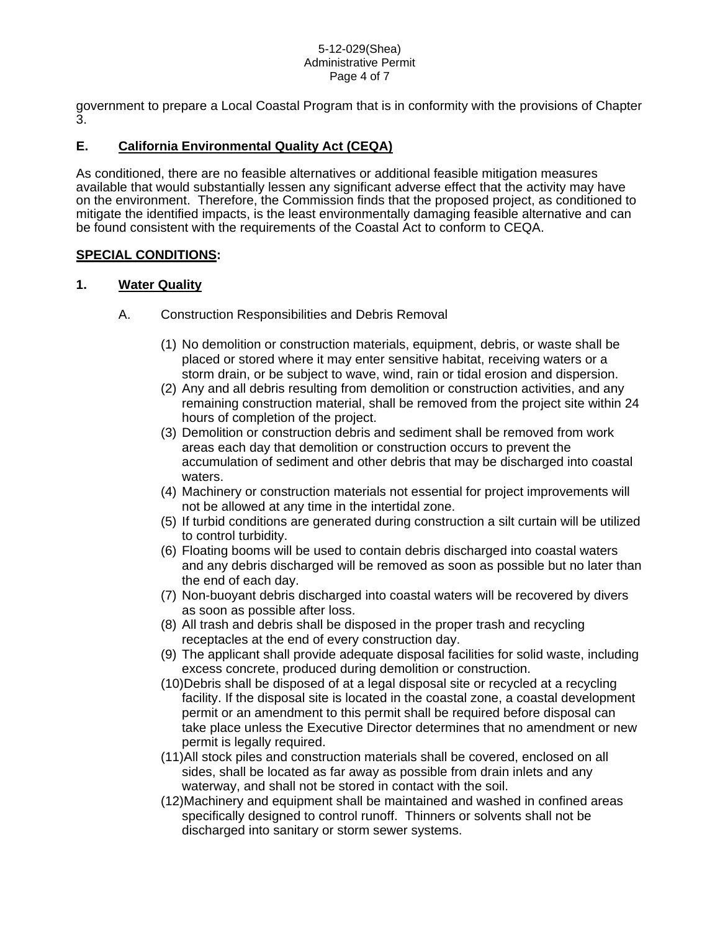#### 5-12-029(Shea) Administrative Permit Page 4 of 7

government to prepare a Local Coastal Program that is in conformity with the provisions of Chapter 3.

## **E. California Environmental Quality Act (CEQA)**

As conditioned, there are no feasible alternatives or additional feasible mitigation measures available that would substantially lessen any significant adverse effect that the activity may have on the environment. Therefore, the Commission finds that the proposed project, as conditioned to mitigate the identified impacts, is the least environmentally damaging feasible alternative and can be found consistent with the requirements of the Coastal Act to conform to CEQA.

### **SPECIAL CONDITIONS:**

### **1. Water Quality**

- A. Construction Responsibilities and Debris Removal
	- (1) No demolition or construction materials, equipment, debris, or waste shall be placed or stored where it may enter sensitive habitat, receiving waters or a storm drain, or be subject to wave, wind, rain or tidal erosion and dispersion.
	- (2) Any and all debris resulting from demolition or construction activities, and any remaining construction material, shall be removed from the project site within 24 hours of completion of the project.
	- (3) Demolition or construction debris and sediment shall be removed from work areas each day that demolition or construction occurs to prevent the accumulation of sediment and other debris that may be discharged into coastal waters.
	- (4) Machinery or construction materials not essential for project improvements will not be allowed at any time in the intertidal zone.
	- (5) If turbid conditions are generated during construction a silt curtain will be utilized to control turbidity.
	- (6) Floating booms will be used to contain debris discharged into coastal waters and any debris discharged will be removed as soon as possible but no later than the end of each day.
	- (7) Non-buoyant debris discharged into coastal waters will be recovered by divers as soon as possible after loss.
	- (8) All trash and debris shall be disposed in the proper trash and recycling receptacles at the end of every construction day.
	- (9) The applicant shall provide adequate disposal facilities for solid waste, including excess concrete, produced during demolition or construction.
	- (10)Debris shall be disposed of at a legal disposal site or recycled at a recycling facility. If the disposal site is located in the coastal zone, a coastal development permit or an amendment to this permit shall be required before disposal can take place unless the Executive Director determines that no amendment or new permit is legally required.
	- (11)All stock piles and construction materials shall be covered, enclosed on all sides, shall be located as far away as possible from drain inlets and any waterway, and shall not be stored in contact with the soil.
	- (12)Machinery and equipment shall be maintained and washed in confined areas specifically designed to control runoff. Thinners or solvents shall not be discharged into sanitary or storm sewer systems.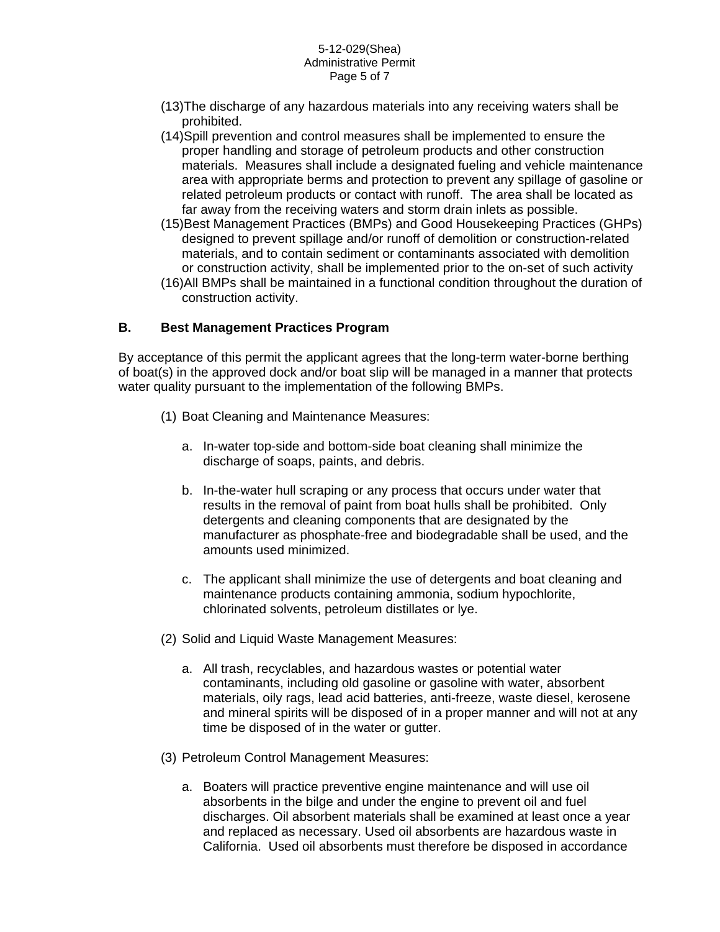#### 5-12-029(Shea) Administrative Permit Page 5 of 7

- (13)The discharge of any hazardous materials into any receiving waters shall be prohibited.
- (14)Spill prevention and control measures shall be implemented to ensure the proper handling and storage of petroleum products and other construction materials. Measures shall include a designated fueling and vehicle maintenance area with appropriate berms and protection to prevent any spillage of gasoline or related petroleum products or contact with runoff. The area shall be located as far away from the receiving waters and storm drain inlets as possible.
- (15)Best Management Practices (BMPs) and Good Housekeeping Practices (GHPs) designed to prevent spillage and/or runoff of demolition or construction-related materials, and to contain sediment or contaminants associated with demolition or construction activity, shall be implemented prior to the on-set of such activity
- (16)All BMPs shall be maintained in a functional condition throughout the duration of construction activity.

#### **B. Best Management Practices Program**

By acceptance of this permit the applicant agrees that the long-term water-borne berthing of boat(s) in the approved dock and/or boat slip will be managed in a manner that protects water quality pursuant to the implementation of the following BMPs.

- (1) Boat Cleaning and Maintenance Measures:
	- a. In-water top-side and bottom-side boat cleaning shall minimize the discharge of soaps, paints, and debris.
	- b. In-the-water hull scraping or any process that occurs under water that results in the removal of paint from boat hulls shall be prohibited. Only detergents and cleaning components that are designated by the manufacturer as phosphate-free and biodegradable shall be used, and the amounts used minimized.
	- c. The applicant shall minimize the use of detergents and boat cleaning and maintenance products containing ammonia, sodium hypochlorite, chlorinated solvents, petroleum distillates or lye.
- (2) Solid and Liquid Waste Management Measures:
	- a. All trash, recyclables, and hazardous wastes or potential water contaminants, including old gasoline or gasoline with water, absorbent materials, oily rags, lead acid batteries, anti-freeze, waste diesel, kerosene and mineral spirits will be disposed of in a proper manner and will not at any time be disposed of in the water or gutter.
- (3) Petroleum Control Management Measures:
	- a. Boaters will practice preventive engine maintenance and will use oil absorbents in the bilge and under the engine to prevent oil and fuel discharges. Oil absorbent materials shall be examined at least once a year and replaced as necessary. Used oil absorbents are hazardous waste in California. Used oil absorbents must therefore be disposed in accordance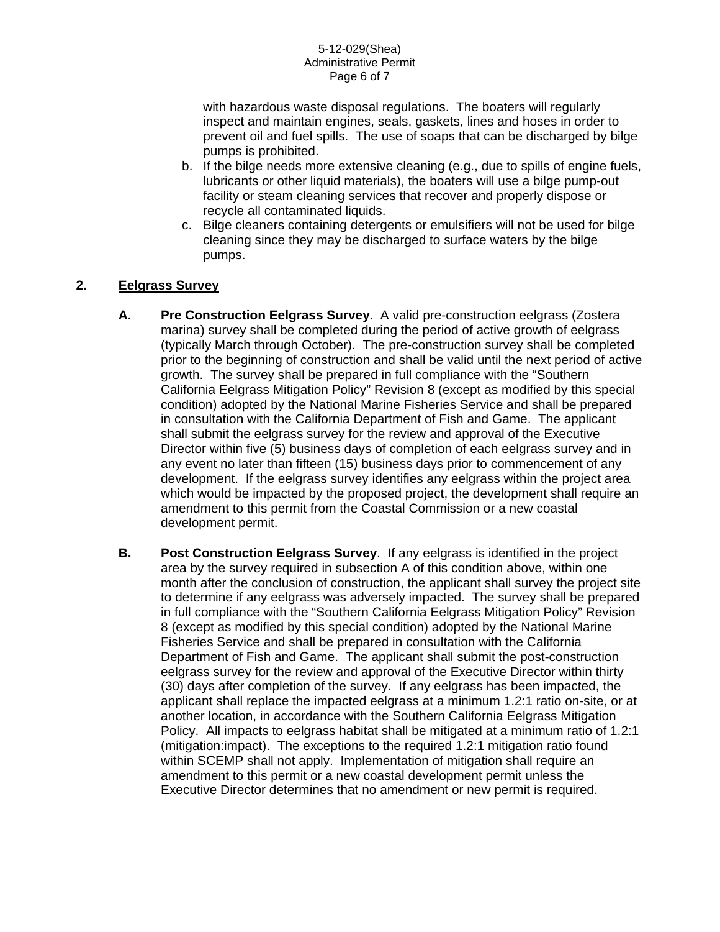with hazardous waste disposal regulations. The boaters will regularly inspect and maintain engines, seals, gaskets, lines and hoses in order to prevent oil and fuel spills. The use of soaps that can be discharged by bilge pumps is prohibited.

- b. If the bilge needs more extensive cleaning (e.g., due to spills of engine fuels, lubricants or other liquid materials), the boaters will use a bilge pump-out facility or steam cleaning services that recover and properly dispose or recycle all contaminated liquids.
- c. Bilge cleaners containing detergents or emulsifiers will not be used for bilge cleaning since they may be discharged to surface waters by the bilge pumps.

## **2. Eelgrass Survey**

- **A. Pre Construction Eelgrass Survey**. A valid pre-construction eelgrass (Zostera marina) survey shall be completed during the period of active growth of eelgrass (typically March through October). The pre-construction survey shall be completed prior to the beginning of construction and shall be valid until the next period of active growth. The survey shall be prepared in full compliance with the "Southern California Eelgrass Mitigation Policy" Revision 8 (except as modified by this special condition) adopted by the National Marine Fisheries Service and shall be prepared in consultation with the California Department of Fish and Game. The applicant shall submit the eelgrass survey for the review and approval of the Executive Director within five (5) business days of completion of each eelgrass survey and in any event no later than fifteen (15) business days prior to commencement of any development. If the eelgrass survey identifies any eelgrass within the project area which would be impacted by the proposed project, the development shall require an amendment to this permit from the Coastal Commission or a new coastal development permit.
- **B. Post Construction Eelgrass Survey**. If any eelgrass is identified in the project area by the survey required in subsection A of this condition above, within one month after the conclusion of construction, the applicant shall survey the project site to determine if any eelgrass was adversely impacted. The survey shall be prepared in full compliance with the "Southern California Eelgrass Mitigation Policy" Revision 8 (except as modified by this special condition) adopted by the National Marine Fisheries Service and shall be prepared in consultation with the California Department of Fish and Game. The applicant shall submit the post-construction eelgrass survey for the review and approval of the Executive Director within thirty (30) days after completion of the survey. If any eelgrass has been impacted, the applicant shall replace the impacted eelgrass at a minimum 1.2:1 ratio on-site, or at another location, in accordance with the Southern California Eelgrass Mitigation Policy. All impacts to eelgrass habitat shall be mitigated at a minimum ratio of 1.2:1 (mitigation:impact). The exceptions to the required 1.2:1 mitigation ratio found within SCEMP shall not apply. Implementation of mitigation shall require an amendment to this permit or a new coastal development permit unless the Executive Director determines that no amendment or new permit is required.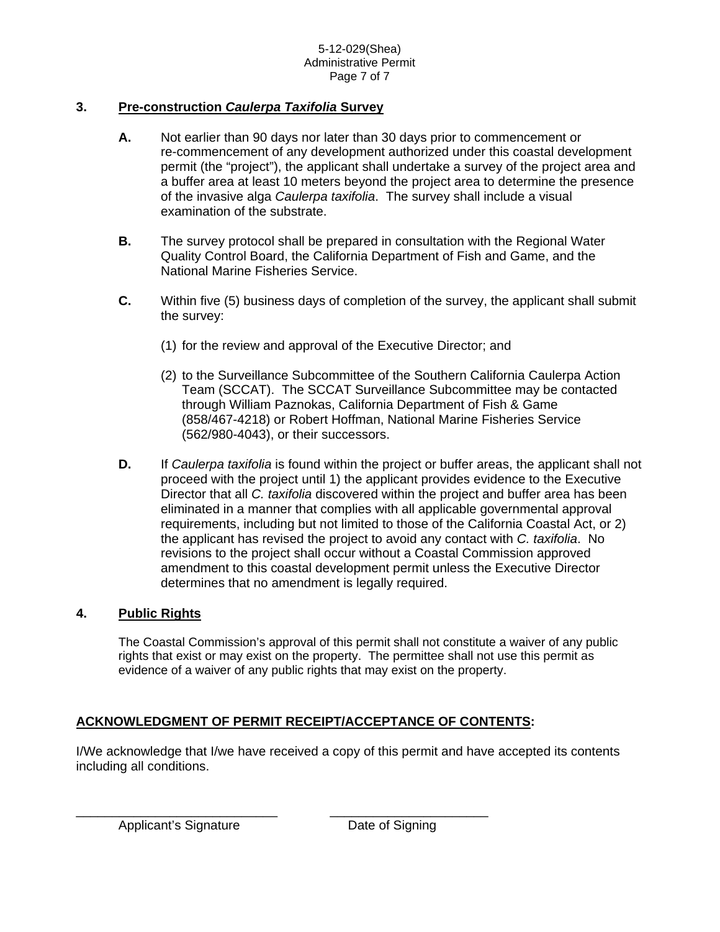## **3. Pre-construction** *Caulerpa Taxifolia* **Survey**

- **A.** Not earlier than 90 days nor later than 30 days prior to commencement or re-commencement of any development authorized under this coastal development permit (the "project"), the applicant shall undertake a survey of the project area and a buffer area at least 10 meters beyond the project area to determine the presence of the invasive alga *Caulerpa taxifolia*. The survey shall include a visual examination of the substrate.
- **B.** The survey protocol shall be prepared in consultation with the Regional Water Quality Control Board, the California Department of Fish and Game, and the National Marine Fisheries Service.
- **C.** Within five (5) business days of completion of the survey, the applicant shall submit the survey:
	- (1) for the review and approval of the Executive Director; and
	- (2) to the Surveillance Subcommittee of the Southern California Caulerpa Action Team (SCCAT). The SCCAT Surveillance Subcommittee may be contacted through William Paznokas, California Department of Fish & Game (858/467-4218) or Robert Hoffman, National Marine Fisheries Service (562/980-4043), or their successors.
- **D.** If *Caulerpa taxifolia* is found within the project or buffer areas, the applicant shall not proceed with the project until 1) the applicant provides evidence to the Executive Director that all *C. taxifolia* discovered within the project and buffer area has been eliminated in a manner that complies with all applicable governmental approval requirements, including but not limited to those of the California Coastal Act, or 2) the applicant has revised the project to avoid any contact with *C. taxifolia*. No revisions to the project shall occur without a Coastal Commission approved amendment to this coastal development permit unless the Executive Director determines that no amendment is legally required.

### **4. Public Rights**

 The Coastal Commission's approval of this permit shall not constitute a waiver of any public rights that exist or may exist on the property. The permittee shall not use this permit as evidence of a waiver of any public rights that may exist on the property.

## **ACKNOWLEDGMENT OF PERMIT RECEIPT/ACCEPTANCE OF CONTENTS:**

I/We acknowledge that I/we have received a copy of this permit and have accepted its contents including all conditions.

Applicant's Signature **Date of Signing**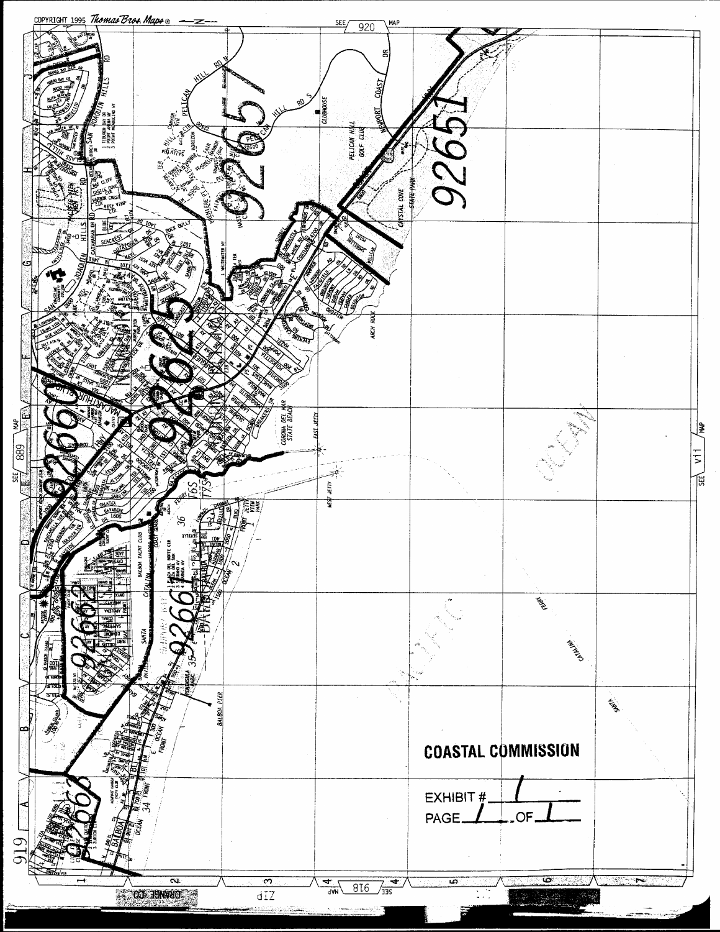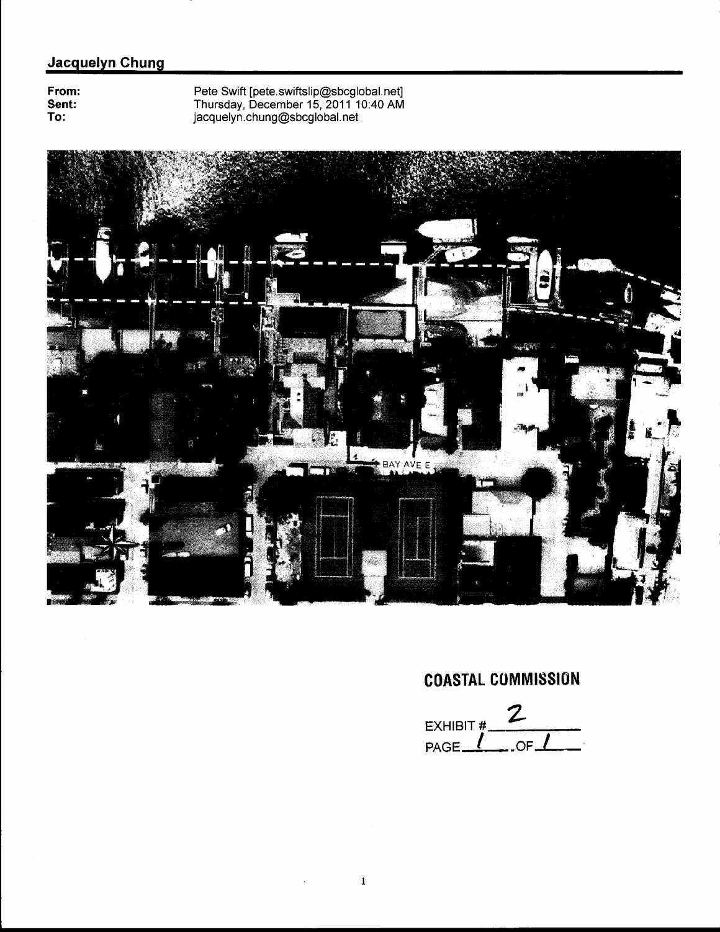## Jacquelyn Chung

From:<br>Sent: To:

Pete Swift [pete.swiftslip@sbcglobal.net]<br>Thursday, December 15, 2011 10:40 AM<br>jacquelyn.chung@sbcglobal.net



 $\blacksquare$ 

 $\mathcal{L}^{\pm}$ 

# **COASTAL COMMISSION**

 $\mathbf{2}$ **EXHIBIT#**  $\overline{\overline{\phantom{0}}\phantom{0}}$  . OF  $\overline{\phantom{0}}\phantom{0}$ PAGE.  $\mathcal{L}$